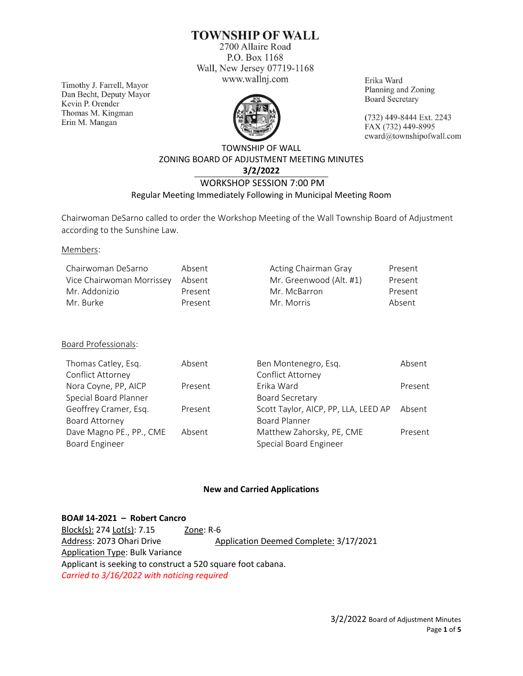# **TOWNSHIP OF WALL**

2700 Allaire Road P.O. Box 1168 Wall, New Jersey 07719-1168 www.wallnj.com

Timothy J. Farrell, Mayor Dan Becht, Deputy Mayor Kevin P. Orender Thomas M. Kingman Erin M. Mangan



Erika Ward Planning and Zoning **Board Secretary** 

(732) 449-8444 Ext. 2243 FAX (732) 449-8995 eward@townshipofwall.com

# TOWNSHIP OF WALL ZONING BOARD OF ADJUSTMENT MEETING MINUTES **3/2/2022** WORKSHOP SESSION 7:00 PM

## Regular Meeting Immediately Following in Municipal Meeting Room

Chairwoman DeSarno called to order the Workshop Meeting of the Wall Township Board of Adjustment according to the Sunshine Law.

#### Members:

| Chairwoman DeSarno        | Absent  | Acting Chairman Gray    | Present |
|---------------------------|---------|-------------------------|---------|
| Vice Chairwoman Morrissey | Absent  | Mr. Greenwood (Alt. #1) | Present |
| Mr. Addonizio             | Present | Mr. McBarron            | Present |
| Mr. Burke                 | Present | Mr. Morris              | Absent  |

## Board Professionals:

| Thomas Catley, Esq.      | Absent  | Ben Montenegro, Esq.                 | Absent  |
|--------------------------|---------|--------------------------------------|---------|
| Conflict Attorney        |         | Conflict Attorney                    |         |
| Nora Coyne, PP, AICP     | Present | Erika Ward                           | Present |
| Special Board Planner    |         | <b>Board Secretary</b>               |         |
| Geoffrey Cramer, Esq.    | Present | Scott Taylor, AICP, PP, LLA, LEED AP | Absent  |
| Board Attorney           |         | <b>Board Planner</b>                 |         |
| Dave Magno PE., PP., CME | Absent  | Matthew Zahorsky, PE, CME            | Present |
| <b>Board Engineer</b>    |         | Special Board Engineer               |         |

## **New and Carried Applications**

**BOA# 14-2021 – Robert Cancro** Block(s): 274 Lot(s): 7.15 Zone: R-6 Address: 2073 Ohari Drive Application Deemed Complete: 3/17/2021 Application Type: Bulk Variance Applicant is seeking to construct a 520 square foot cabana. *Carried to 3/16/2022 with noticing required*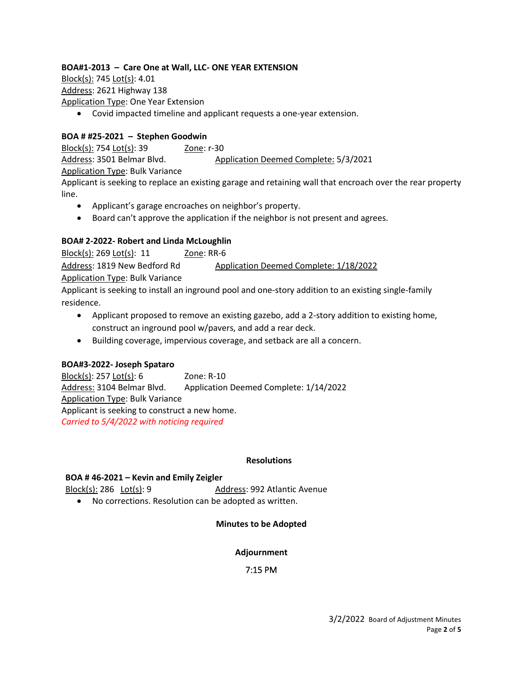## **BOA#1-2013 – Care One at Wall, LLC- ONE YEAR EXTENSION**

Block(s): 745 Lot(s): 4.01 Address: 2621 Highway 138 Application Type: One Year Extension

• Covid impacted timeline and applicant requests a one-year extension.

## **BOA # #25-2021 – Stephen Goodwin**

Block(s): 754 Lot(s): 39 Zone: r-30 Address: 3501 Belmar Blvd. Application Deemed Complete: 5/3/2021 Application Type: Bulk Variance Applicant is seeking to replace an existing garage and retaining wall that encroach over the rear property line.

- Applicant's garage encroaches on neighbor's property.
- Board can't approve the application if the neighbor is not present and agrees.

## **BOA# 2-2022- Robert and Linda McLoughlin**

Block(s): 269 Lot(s): 11 Zone: RR-6 Address: 1819 New Bedford Rd Application Deemed Complete: 1/18/2022 Application Type: Bulk Variance Applicant is seeking to install an inground pool and one-story addition to an existing single-family residence.

- Applicant proposed to remove an existing gazebo, add a 2-story addition to existing home, construct an inground pool w/pavers, and add a rear deck.
- Building coverage, impervious coverage, and setback are all a concern.

## **BOA#3-2022- Joseph Spataro**

Block(s): 257 Lot(s): 6 Zone: R-10 Address: 3104 Belmar Blvd. Application Deemed Complete: 1/14/2022 Application Type: Bulk Variance Applicant is seeking to construct a new home. *Carried to 5/4/2022 with noticing required*

#### **Resolutions**

#### **BOA # 46-2021 – Kevin and Emily Zeigler**

Block(s): 286 Lot(s): 9 Address: 992 Atlantic Avenue

• No corrections. Resolution can be adopted as written.

## **Minutes to be Adopted**

#### **Adjournment**

## 7:15 PM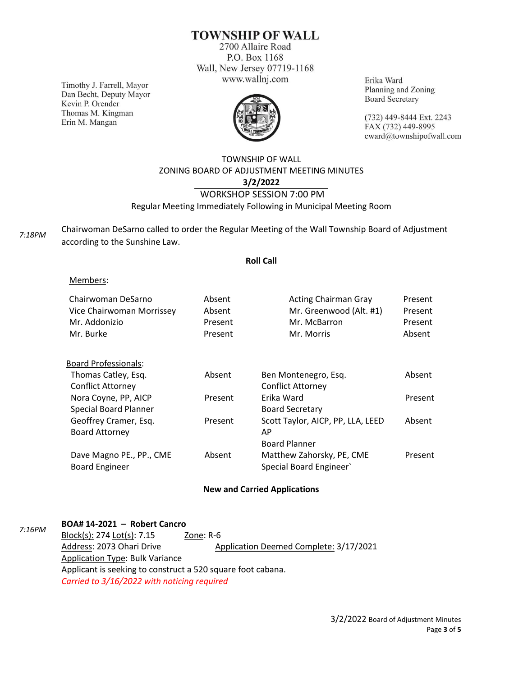# **TOWNSHIP OF WALL**

2700 Allaire Road P.O. Box 1168 Wall, New Jersey 07719-1168 www.wallnj.com

Timothy J. Farrell, Mayor Dan Becht, Deputy Mayor Kevin P. Orender Thomas M. Kingman Erin M. Mangan



Erika Ward Planning and Zoning **Board Secretary** 

(732) 449-8444 Ext. 2243 FAX (732) 449-8995 eward@townshipofwall.com

## TOWNSHIP OF WALL ZONING BOARD OF ADJUSTMENT MEETING MINUTES **3/2/2022** WORKSHOP SESSION 7:00 PM Regular Meeting Immediately Following in Municipal Meeting Room

*7:18PM*

Chairwoman DeSarno called to order the Regular Meeting of the Wall Township Board of Adjustment according to the Sunshine Law.

#### **Roll Call**

#### Members:

| Absent<br>Absent<br>Present<br>Present | <b>Acting Chairman Gray</b><br>Mr. Greenwood (Alt. #1)<br>Mr. McBarron<br>Mr. Morris | Present<br>Present<br>Present<br>Absent |
|----------------------------------------|--------------------------------------------------------------------------------------|-----------------------------------------|
|                                        |                                                                                      |                                         |
| Absent                                 | Ben Montenegro, Esq.                                                                 | Absent                                  |
|                                        | <b>Conflict Attorney</b>                                                             |                                         |
| Present                                | Erika Ward                                                                           | Present                                 |
|                                        | <b>Board Secretary</b>                                                               |                                         |
| Present                                | Scott Taylor, AICP, PP, LLA, LEED                                                    | Absent                                  |
|                                        | AP                                                                                   |                                         |
|                                        | <b>Board Planner</b>                                                                 |                                         |
| Absent                                 | Matthew Zahorsky, PE, CME                                                            | Present                                 |
|                                        | Special Board Engineer                                                               |                                         |
|                                        |                                                                                      |                                         |

#### **New and Carried Applications**

| 7:16PM | BOA# 14-2021 - Robert Cancro                                |                                        |  |
|--------|-------------------------------------------------------------|----------------------------------------|--|
|        | Block(s): 274 Lot(s): 7.15                                  | Zone: R-6                              |  |
|        | Address: 2073 Ohari Drive                                   | Application Deemed Complete: 3/17/2021 |  |
|        | <b>Application Type: Bulk Variance</b>                      |                                        |  |
|        | Applicant is seeking to construct a 520 square foot cabana. |                                        |  |
|        | Carried to 3/16/2022 with noticing required                 |                                        |  |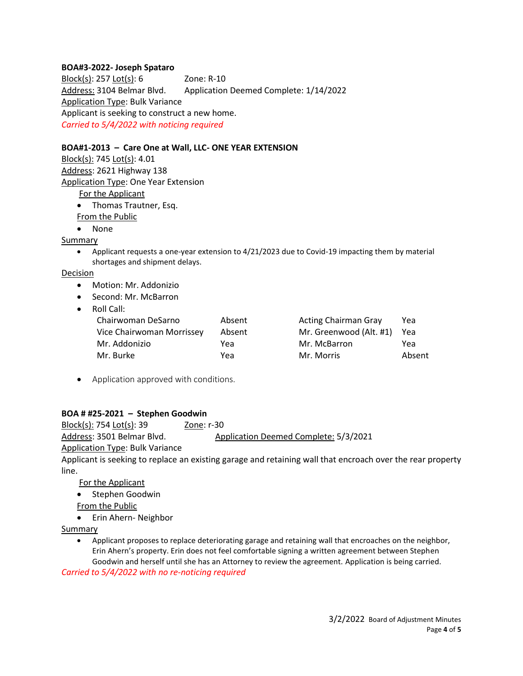### **BOA#3-2022- Joseph Spataro**

Block(s): 257 Lot(s): 6 Zone: R-10 Address: 3104 Belmar Blvd. Application Deemed Complete: 1/14/2022 Application Type: Bulk Variance Applicant is seeking to construct a new home. *Carried to 5/4/2022 with noticing required*

#### **BOA#1-2013 – Care One at Wall, LLC- ONE YEAR EXTENSION**

Block(s): 745 Lot(s): 4.01 Address: 2621 Highway 138 Application Type: One Year Extension For the Applicant

- Thomas Trautner, Esq.
- From the Public
- None

Summary

• Applicant requests a one-year extension to 4/21/2023 due to Covid-19 impacting them by material shortages and shipment delays.

#### Decision

- Motion: Mr. Addonizio
- Second: Mr. McBarron
- Roll Call:

| Chairwoman DeSarno        | Absent | <b>Acting Chairman Gray</b> | Yea    |
|---------------------------|--------|-----------------------------|--------|
| Vice Chairwoman Morrissey | Absent | Mr. Greenwood (Alt. #1)     | Yea    |
| Mr. Addonizio             | Yea    | Mr. McBarron                | Yea    |
| Mr. Burke                 | Yea    | Mr. Morris                  | Absent |

• Application approved with conditions.

## **BOA # #25-2021 – Stephen Goodwin**

Block(s): 754 Lot(s): 39 Zone: r-30 Address: 3501 Belmar Blvd. Application Deemed Complete: 5/3/2021 Application Type: Bulk Variance

Applicant is seeking to replace an existing garage and retaining wall that encroach over the rear property line.

For the Applicant

- Stephen Goodwin
- From the Public
- Erin Ahern- Neighbor

Summary

• Applicant proposes to replace deteriorating garage and retaining wall that encroaches on the neighbor, Erin Ahern's property. Erin does not feel comfortable signing a written agreement between Stephen Goodwin and herself until she has an Attorney to review the agreement. Application is being carried.

*Carried to 5/4/2022 with no re-noticing required*